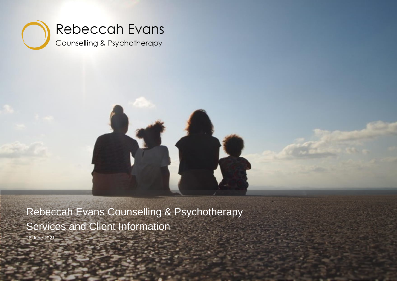



Rebeccah Evans Counselling & Psychotherapy Services and Client Information 26 June 2021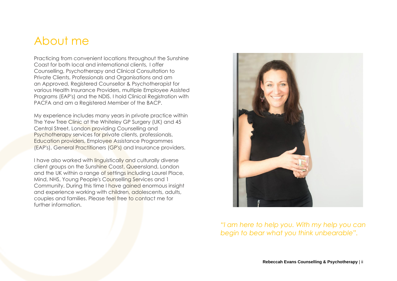#### <span id="page-1-0"></span>About me

Practicing from convenient locations throughout the Sunshine Coast for both local and international clients, I offer Counselling, Psychotherapy and Clinical Consultation to Private Clients, Professionals and Organisations and am an Approved, Registered Counsellor & Psychotherapist for various Health Insurance Providers, multiple Employee Assisted Programs (EAP's) and the NDIS. I hold Clinical Registration with PACFA and am a Registered Member of the BACP.

My experience includes many years in private practice within The Yew Tree Clinic at the Whiteley GP Surgery (UK) and 45 Central Street, London providing Counselling and Psychotherapy services for private clients, professionals, Education providers, Employee Assistance Programmes (EAP's), General Practitioners (GP's) and Insurance providers.

I have also worked with linguistically and culturally diverse client groups on the Sunshine Coast, Queensland, London and the UK within a range of settings including Laurel Place, Mind, NHS, Young People's Counselling Services and 1 Community. During this time I have gained enormous insight and experience working with children, adolescents, adults, couples and families. Please feel free to contact me for further information.



*"I am here to help you. With my help you can begin to bear what you think unbearable".*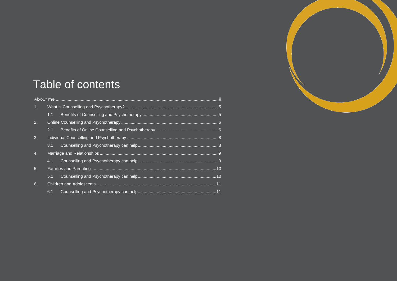

## Table of contents

| 1 <sub>1</sub>   |     |  |
|------------------|-----|--|
|                  | 1.1 |  |
| 2.               |     |  |
|                  | 2.1 |  |
| 3.               |     |  |
|                  | 3.1 |  |
| $\overline{4}$ . |     |  |
|                  | 4.1 |  |
| 5.               |     |  |
|                  | 5.1 |  |
| 6.               |     |  |
|                  | 6.1 |  |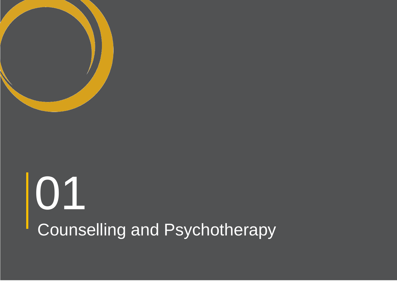

# Counselling and Psychotherapy 01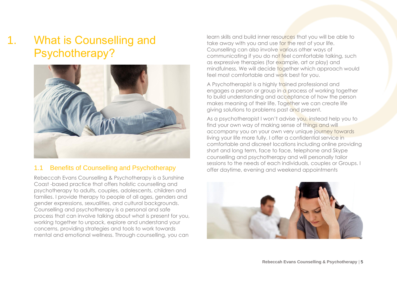## <span id="page-4-0"></span>1. What is Counselling and Psychotherapy?



#### <span id="page-4-1"></span>1.1 Benefits of Counselling and Psychotherapy

Rebeccah Evans Counselling & Psychotherapy is a Sunshine Coast -based practice that offers holistic counselling and psychotherapy to adults, couples, adolescents, children and families. I provide therapy to people of all ages, genders and gender expressions, sexualities, and cultural backgrounds. Counselling and psychotherapy is a personal and safe process that can involve talking about what is present for you, working together to unpack, explore and understand your concerns, providing strategies and tools to work towards mental and emotional wellness. Through counselling, you can

learn skills and build inner resources that you will be able to take away with you and use for the rest of your life. Counselling can also involve various other ways of communicating if you do not feel comfortable talking, such as expressive therapies (for example, art or play) and mindfulness. We will decide together which approach would feel most comfortable and work best for you.

A Psychotherapist is a highly trained professional and engages a person or group in a process of working together to build understanding and acceptance of how the person makes meaning of their life. Together we can create life giving solutions to problems past and present.

As a psychotherapist I won't advise you, instead help you to find your own way of making sense of things and will accompany you on your own very unique journey towards living your life more fully. I offer a confidential service in comfortable and discreet locations including online providing short and long term, face to face, telephone and Skype counselling and psychotherapy and will personally tailor sessions to the needs of each individuals, couples or Groups. I offer daytime, evening and weekend appointments

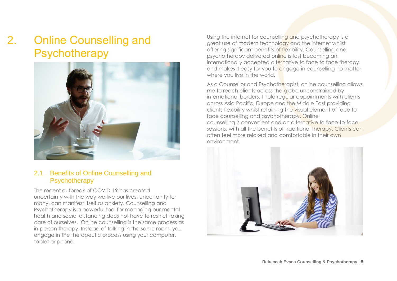## <span id="page-5-0"></span>2. Online Counselling and Psychotherapy



Using the internet for counselling and psychotherapy is a great use of modern technology and the internet whilst offering significant benefits of flexibility. Counselling and psychotherapy delivered online is fast becoming an internationally accepted alternative to face to face therapy and makes it easy for you to engage in counselling no matter where you live in the world.

As a Counsellor and Psychotherapist, online counselling allows me to reach clients across the globe unconstrained by international borders. I hold regular appointments with clients across Asia Pacific, Europe and the Middle East providing clients flexibility whilst retaining the visual element of face to face counselling and psychotherapy. Online counselling is convenient and an alternative to face-to-face sessions, with all the benefits of traditional therapy. Clients can often feel more relaxed and comfortable in their own environment.

#### <span id="page-5-1"></span>2.1 Benefits of Online Counselling and **Psychotherapy**

The recent outbreak of COVID-19 has created uncertainty with the way we live our lives. Uncertainty for many, can manifest itself as anxiety. Counselling and Psychotherapy is a powerful tool for managing our mental health and social distancing does not have to restrict taking care of ourselves. Online counselling is the same process as in-person therapy. Instead of talking in the same room, you engage in the therapeutic process using your computer, tablet or phone.

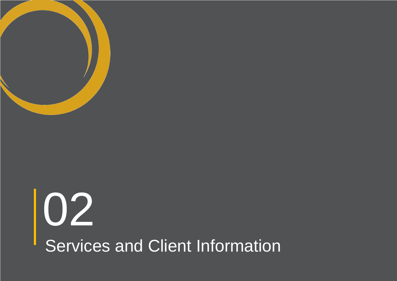

## Services and Client Information 02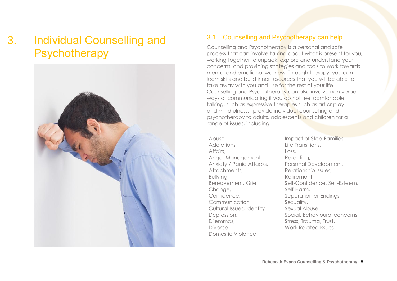## <span id="page-7-0"></span>3. Individual Counselling and **Psychotherapy**



#### <span id="page-7-1"></span>3.1 Counselling and Psychotherapy can help

Counselling and Psychotherapy is a personal and safe process that can involve talking about what is present for you, working together to unpack, explore and understand your concerns, and providing strategies and tools to work towards mental and emotional wellness. Through therapy, you can learn skills and build inner resources that you will be able to take away with you and use for the rest of your life. Counselling and Psychotherapy can also involve non-verbal ways of communicating if you do not feel comfortable talking, such as expressive therapies such as art or play and mindfulness. I provide individual counselling and psychotherapy to adults, adolescents and children for a range of issues, including:

Abuse, Addictions, Affairs, Anger Management, Anxiety / Panic Attacks, Attachments, Bullying, Bereavement, Grief Change, Confidence, Communication Cultural Issues, Identity Depression, Dilemmas, Divorce Domestic Violence

Impact of Step-Families, Life Transitions, Loss, Parenting, Personal Development, Relationship Issues, Retirement, Self-Confidence, Self-Esteem, Self-Harm, Separation or Endings, Sexuality, Sexual Abuse, Social, Behavioural concerns Stress, Trauma, Trust, Work Related Issues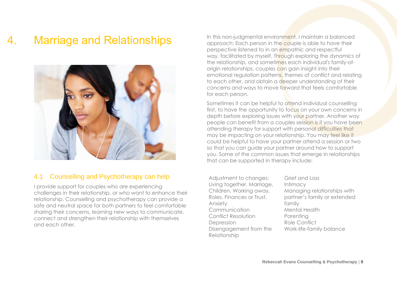## 4. Marriage and Relationships

<span id="page-8-0"></span>

#### <span id="page-8-1"></span>4.1 Counselling and Psychotherapy can help

I provide support for couples who are experiencing challenges in their relationship, or who want to enhance their relationship. Counselling and psychotherapy can provide a safe and neutral space for both partners to feel comfortable sharing their concerns, learning new ways to communicate, connect and strengthen their relationship with themselves and each other.

In this non-judgmental environment, I maintain a balanced approach: Each person in the couple is able to have their perspective listened to in an empathic and respectful way, facilitated by myself. Through exploring the dynamics of the relationship, and sometimes each individual's family-oforigin relationships, couples can gain insight into their emotional regulation patterns, themes of conflict and relating to each other, and obtain a deeper understanding of their concerns and ways to move forward that feels comfortable for each person.

Sometimes it can be helpful to attend individual counselling first, to have the opportunity to focus on your own concerns in depth before exploring issues with your partner. Another way people can benefit from a couples session is if you have been attending therapy for support with personal difficulties that may be impacting on your relationship. You may feel like it could be helpful to have your partner attend a session or two so that you can guide your partner around how to support you. Some of the common issues that emerge in relationships that can be supported in therapy include:

Adjustment to changes: Living together, Marriage, Children, Working away, Roles, Finances or Trust. Anxiety Communication Conflict Resolution Depression Disengagement from the Relationship

Grief and Loss Intimacy Managing relationships with partner's family or extended family Mental Health Parenting Role Conflict Work-life-family balance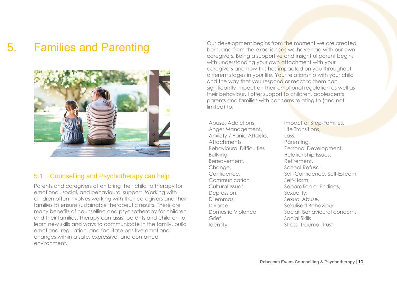### 5. Families and Parenting

<span id="page-9-0"></span>

#### <span id="page-9-1"></span>5.1 Counselling and Psychotherapy can help

Parents and caregivers often bring their child to therapy for emotional, social, and behavioural support. Working with children often involves working with their caregivers and their families to ensure sustainable therapeutic results. There are many benefits of counselling and psychotherapy for children and their families. Therapy can assist parents and children to learn new skills and ways to communicate in the family, build emotional regulation, and facilitate positive emotional changes within a safe, expressive, and contained environment.

Our development begins from the moment we are created, born, and from the experiences we have had with our own caregivers. Being a supportive and insightful parent begins with understanding your own attachment with your caregivers and how this has impacted on you throughout different stages in your life. Your relationship with your child and the way that you respond or react to them can significantly impact on their emotional regulation as well as their behaviour. I offer support to children, adolescents parents and families with concerns relating to (and not limited) to:

Abuse, Addictions, Anger Management, Anxiety / Panic Attacks, Attachments, Behavioural Difficulties Bullying, Bereavement, Change, Confidence, Communication Cultural Issues, Depression, Dilemmas, Divorce Domestic Violence Grief **Identity** 

Impact of Step-Families, Life Transitions, Loss, Parenting, Personal Development, Relationship Issues, Retirement, School Refusal Self-Confidence, Self-Esteem, Self-Harm, Separation or Endings, Sexuality, Sexual Abuse, Sexulised Behaviour Social, Behavioural concerns Social Skills Stress, Trauma, Trust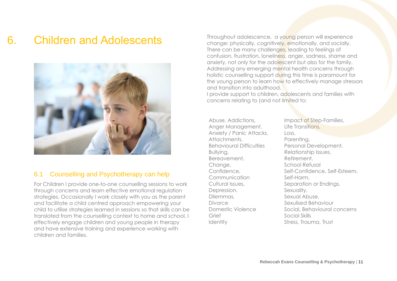### 6. Children and Adolescents

<span id="page-10-0"></span>

#### <span id="page-10-1"></span>6.1 Counselling and Psychotherapy can help

For Children I provide one-to-one counselling sessions to work through concerns and learn effective emotional regulation strategies. Occasionally I work closely with you as the parent and facilitate a child centred approach empowering your child to utilise strategies learned in sessions so that skills can be translated from the counselling context to home and school. I effectively engage children and young people in therapy and have extensive training and experience working with children and families.

Throughout adolescence, a young person will experience change: physically, cognitively, emotionally, and socially. There can be many challenges, leading to feelings of confusion, frustration, loneliness, anger, sadness, shame and anxiety, not only for the adolescent but also for the family. Addressing any emerging mental health concerns through holistic counselling support during this time is paramount for the young person to learn how to effectively manage stressors and transition into adulthood.

I provide support to children, adolescents and families with concerns relating to (and not limited to:

Abuse, Addictions, Anger Management, Anxiety / Panic Attacks, Attachments, Behavioural Difficulties Bullying, Bereavement, Change, Confidence, Communication Cultural Issues, Depression, Dilemmas, **Divorce** Domestic Violence Grief **Identity** 

Impact of Step-Families, Life Transitions, Loss, Parenting, Personal Development, Relationship Issues, Retirement, School Refusal Self-Confidence, Self-Esteem, Self-Harm, Separation or Endings, Sexuality, Sexual Abuse, Sexulised Behaviour Social, Behavioural concerns Social Skills Stress, Trauma, Trust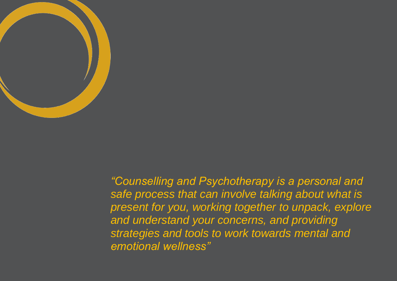

01**Rebeccah Evans Counselling & Psychotherapy** | 12 *"Counselling and Psychotherapy is a personal and safe process that can involve talking about what is present for you, working together to unpack, explore and understand your concerns, and providing strategies and tools to work towards mental and emotional wellness"*